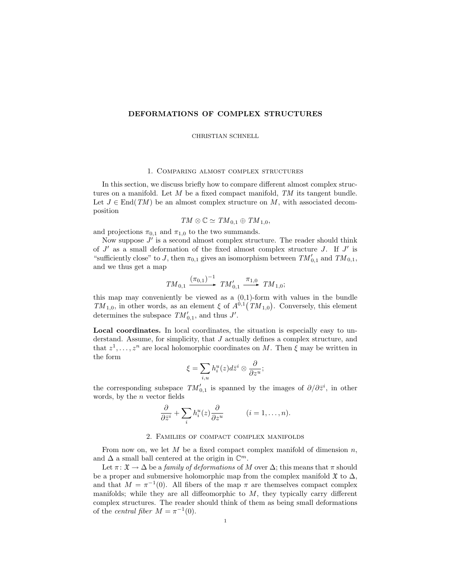# DEFORMATIONS OF COMPLEX STRUCTURES

CHRISTIAN SCHNELL

#### 1. Comparing almost complex structures

In this section, we discuss briefly how to compare different almost complex structures on a manifold. Let  $M$  be a fixed compact manifold,  $TM$  its tangent bundle. Let  $J \in End(TM)$  be an almost complex structure on M, with associated decomposition

 $TM \otimes \mathbb{C} \simeq TM_{0,1} \oplus TM_{1,0},$ 

and projections  $\pi_{0,1}$  and  $\pi_{1,0}$  to the two summands.

Now suppose  $J'$  is a second almost complex structure. The reader should think of  $J'$  as a small deformation of the fixed almost complex structure  $J$ . If  $J'$  is "sufficiently close" to J, then  $\pi_{0,1}$  gives an isomorphism between  $TM'_{0,1}$  and  $TM_{0,1}$ , and we thus get a map

$$
TM_{0,1} \xrightarrow{(\pi_{0,1})^{-1}} TM'_{0,1} \xrightarrow{\pi_{1,0}} TM_{1,0};
$$

this map may conveniently be viewed as a  $(0,1)$ -form with values in the bundle TM<sub>1,0</sub>, in other words, as an element  $\xi$  of  $A^{0,1}(TM_{1,0})$ . Conversely, this element determines the subspace  $TM'_{0,1}$ , and thus  $J'$ .

Local coordinates. In local coordinates, the situation is especially easy to understand. Assume, for simplicity, that  $J$  actually defines a complex structure, and that  $z^1, \ldots, z^n$  are local holomorphic coordinates on M. Then  $\xi$  may be written in the form

$$
\xi=\sum_{i,u}h_i^u(z)d\bar z^i\otimes \frac{\partial}{\partial z^u};
$$

the corresponding subspace  $TM'_{0,1}$  is spanned by the images of  $\partial/\partial \bar{z}^i$ , in other words, by the  $n$  vector fields

$$
\frac{\partial}{\partial \bar{z}^i} + \sum_i h_i^u(z) \frac{\partial}{\partial z^u} \qquad (i = 1, \dots, n).
$$

## 2. Families of compact complex manifolds

From now on, we let  $M$  be a fixed compact complex manifold of dimension  $n$ , and  $\Delta$  a small ball centered at the origin in  $\mathbb{C}^m$ .

Let  $\pi: \mathfrak{X} \to \Delta$  be a family of deformations of M over  $\Delta$ ; this means that  $\pi$  should be a proper and submersive holomorphic map from the complex manifold  $\mathfrak{X}$  to  $\Delta$ , and that  $M = \pi^{-1}(0)$ . All fibers of the map  $\pi$  are themselves compact complex manifolds; while they are all diffeomorphic to  $M$ , they typically carry different complex structures. The reader should think of them as being small deformations of the *central fiber*  $M = \pi^{-1}(0)$ .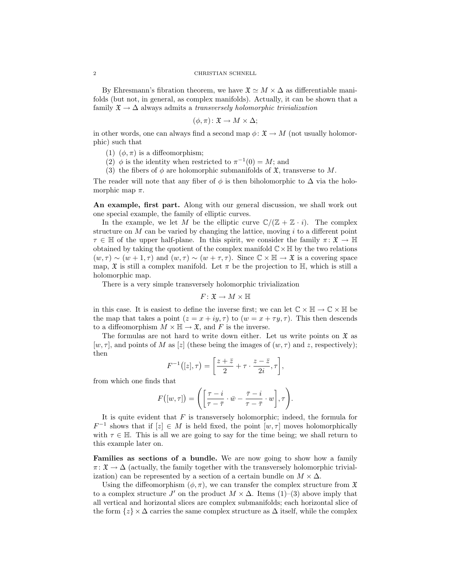By Ehresmann's fibration theorem, we have  $\mathfrak{X} \simeq M \times \Delta$  as differentiable manifolds (but not, in general, as complex manifolds). Actually, it can be shown that a family  $\mathfrak{X} \to \Delta$  always admits a transversely holomorphic trivialization

$$
(\phi, \pi) \colon \mathfrak{X} \to M \times \Delta;
$$

in other words, one can always find a second map  $\phi: \mathfrak{X} \to M$  (not usually holomorphic) such that

- (1)  $(\phi, \pi)$  is a diffeomorphism;
- (2)  $\phi$  is the identity when restricted to  $\pi^{-1}(0) = M$ ; and
- (3) the fibers of  $\phi$  are holomorphic submanifolds of  $\mathfrak{X}$ , transverse to M.

The reader will note that any fiber of  $\phi$  is then biholomorphic to  $\Delta$  via the holomorphic map  $\pi$ .

An example, first part. Along with our general discussion, we shall work out one special example, the family of elliptic curves.

In the example, we let M be the elliptic curve  $\mathbb{C}/(\mathbb{Z}+\mathbb{Z}\cdot i)$ . The complex structure on  $M$  can be varied by changing the lattice, moving i to a different point  $\tau \in \mathbb{H}$  of the upper half-plane. In this spirit, we consider the family  $\pi \colon \mathfrak{X} \to \mathbb{H}$ obtained by taking the quotient of the complex manifold  $\mathbb{C}\times\mathbb{H}$  by the two relations  $(w, \tau) \sim (w + 1, \tau)$  and  $(w, \tau) \sim (w + \tau, \tau)$ . Since  $\mathbb{C} \times \mathbb{H} \to \mathfrak{X}$  is a covering space map,  $\mathfrak X$  is still a complex manifold. Let  $\pi$  be the projection to  $\mathbb H$ , which is still a holomorphic map.

There is a very simple transversely holomorphic trivialization

$$
F\colon \mathfrak{X}\to M\times\mathbb{H}
$$

in this case. It is easiest to define the inverse first; we can let  $\mathbb{C} \times \mathbb{H} \to \mathbb{C} \times \mathbb{H}$  be the map that takes a point  $(z = x + iy, \tau)$  to  $(w = x + \tau y, \tau)$ . This then descends to a diffeomorphism  $M \times \mathbb{H} \to \mathfrak{X}$ , and F is the inverse.

The formulas are not hard to write down either. Let us write points on  $\mathfrak X$  as  $[w, \tau]$ , and points of M as [z] (these being the images of  $(w, \tau)$  and z, respectively); then

$$
F^{-1}([z], \tau) = \left[\frac{z+\bar{z}}{2} + \tau \cdot \frac{z-\bar{z}}{2i}, \tau\right],
$$

from which one finds that

$$
F([w, \tau]) = \left( \left[ \frac{\tau - i}{\tau - \overline{\tau}} \cdot \overline{w} - \frac{\overline{\tau} - i}{\tau - \overline{\tau}} \cdot w \right], \tau \right).
$$

It is quite evident that  $F$  is transversely holomorphic; indeed, the formula for  $F^{-1}$  shows that if  $[z] \in M$  is held fixed, the point  $[w, \tau]$  moves holomorphically with  $\tau \in \mathbb{H}$ . This is all we are going to say for the time being; we shall return to this example later on.

Families as sections of a bundle. We are now going to show how a family  $\pi: \mathfrak{X} \to \Delta$  (actually, the family together with the transversely holomorphic trivialization) can be represented by a section of a certain bundle on  $M \times \Delta$ .

Using the diffeomorphism  $(\phi, \pi)$ , we can transfer the complex structure from  $\mathfrak X$ to a complex structure  $J'$  on the product  $M \times \Delta$ . Items (1)–(3) above imply that all vertical and horizontal slices are complex submanifolds; each horizontal slice of the form  $\{z\} \times \Delta$  carries the same complex structure as  $\Delta$  itself, while the complex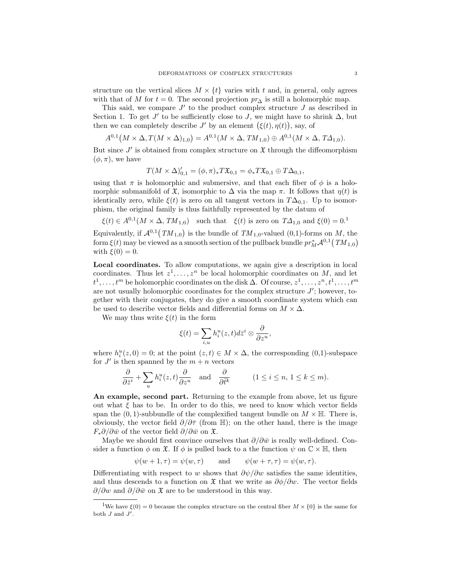structure on the vertical slices  $M \times \{t\}$  varies with t and, in general, only agrees with that of M for  $t = 0$ . The second projection  $pr_{\Delta}$  is still a holomorphic map.

This said, we compare  $J'$  to the product complex structure  $J$  as described in Section 1. To get  $J'$  to be sufficiently close to  $J$ , we might have to shrink  $\Delta$ , but then we can completely describe  $J'$  by an element  $(\xi(t), \eta(t))$ , say, of

$$
A^{0,1}(M \times \Delta, T(M \times \Delta)_{1,0}) = A^{0,1}(M \times \Delta, TM_{1,0}) \oplus A^{0,1}(M \times \Delta, T\Delta_{1,0}).
$$

But since  $J'$  is obtained from complex structure on  $\mathfrak X$  through the diffeomorphism  $(\phi, \pi)$ , we have

$$
T(M\times\Delta)_{0,1}'=(\phi,\pi)_*T\mathfrak{X}_{0,1}=\phi_*T\mathfrak{X}_{0,1}\oplus T\Delta_{0,1},
$$

using that  $\pi$  is holomorphic and submersive, and that each fiber of  $\phi$  is a holomorphic submanifold of  $\mathfrak X$ , isomorphic to  $\Delta$  via the map  $\pi$ . It follows that  $\eta(t)$  is identically zero, while  $\xi(t)$  is zero on all tangent vectors in  $T\Delta_{0,1}$ . Up to isomorphism, the original family is thus faithfully represented by the datum of

$$
\xi(t) \in A^{0,1}(M \times \Delta, TM_{1,0})
$$
 such that  $\xi(t)$  is zero on  $T\Delta_{1,0}$  and  $\xi(0) = 0$ .<sup>1</sup>

Equivalently, if  $\mathcal{A}^{0,1}(TM_{1,0})$  is the bundle of  $TM_{1,0}$ -valued (0,1)-forms on M, the form  $\xi(t)$  may be viewed as a smooth section of the pullback bundle  $pr_M^*\mathcal{A}^{0,1} \bigl(\, TM_{1,0} \bigr)$ with  $\xi(0) = 0$ .

Local coordinates. To allow computations, we again give a description in local coordinates. Thus let  $z^1, \ldots, z^n$  be local holomorphic coordinates on M, and let  $t^1, \ldots, t^m$  be holomorphic coordinates on the disk  $\Delta$ . Of course,  $z^1, \ldots, z^n, t^1, \ldots, t^m$ are not usually holomorphic coordinates for the complex structure  $J'$ ; however, together with their conjugates, they do give a smooth coordinate system which can be used to describe vector fields and differential forms on  $M \times \Delta$ .

We may thus write  $\xi(t)$  in the form

$$
\xi(t)=\sum_{i,u}h_i^u(z,t)d\bar z^i\otimes\frac{\partial}{\partial z^u},
$$

where  $h_i^u(z,0) = 0$ ; at the point  $(z,t) \in M \times \Delta$ , the corresponding  $(0,1)$ -subspace for  $J'$  is then spanned by the  $m + n$  vectors

$$
\frac{\partial}{\partial \bar{z}^i} + \sum_u h_i^u(z, t) \frac{\partial}{\partial z^u} \quad \text{and} \quad \frac{\partial}{\partial \bar{t}^k} \qquad (1 \le i \le n, \ 1 \le k \le m).
$$

An example, second part. Returning to the example from above, let us figure out what  $\xi$  has to be. In order to do this, we need to know which vector fields span the  $(0, 1)$ -subbundle of the complexified tangent bundle on  $M \times \mathbb{H}$ . There is, obviously, the vector field  $\partial/\partial \bar{\tau}$  (from H); on the other hand, there is the image  $F_*\partial/\partial \bar{w}$  of the vector field  $\partial/\partial \bar{w}$  on  $\mathfrak{X}$ .

Maybe we should first convince ourselves that  $\partial/\partial \bar{w}$  is really well-defined. Consider a function  $\phi$  on  $\mathfrak{X}$ . If  $\phi$  is pulled back to a the function  $\psi$  on  $\mathbb{C} \times \mathbb{H}$ , then

$$
\psi(w+1,\tau) = \psi(w,\tau) \quad \text{and} \quad \psi(w+\tau,\tau) = \psi(w,\tau).
$$

Differentiating with respect to w shows that  $\partial \psi / \partial w$  satisfies the same identities, and thus descends to a function on  $\mathfrak X$  that we write as  $\partial \phi / \partial w$ . The vector fields  $\partial/\partial w$  and  $\partial/\partial \bar{w}$  on X are to be understood in this way.

<sup>&</sup>lt;sup>1</sup>We have  $\xi(0) = 0$  because the complex structure on the central fiber  $M \times \{0\}$  is the same for both  $J$  and  $J'$ .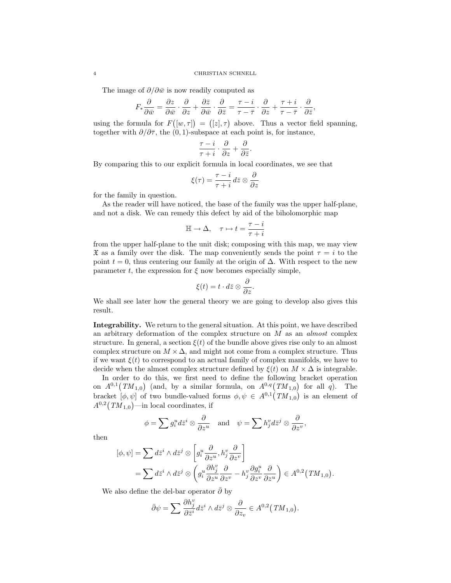#### 4 CHRISTIAN SCHNELL

The image of  $\partial/\partial \bar{w}$  is now readily computed as

$$
F_*\frac{\partial}{\partial \bar{w}} = \frac{\partial z}{\partial \bar{w}} \cdot \frac{\partial}{\partial z} + \frac{\partial \bar{z}}{\partial \bar{w}} \cdot \frac{\partial}{\partial \bar{z}} = \frac{\tau - i}{\tau - \bar{\tau}} \cdot \frac{\partial}{\partial z} + \frac{\tau + i}{\tau - \bar{\tau}} \cdot \frac{\partial}{\partial \bar{z}},
$$

using the formula for  $F([w, \tau]) = ([z], \tau)$  above. Thus a vector field spanning, together with  $\partial/\partial \bar{\tau}$ , the (0, 1)-subspace at each point is, for instance,

$$
\frac{\tau-i}{\tau+i}\cdot\frac{\partial}{\partial z}+\frac{\partial}{\partial\bar{z}}.
$$

By comparing this to our explicit formula in local coordinates, we see that

$$
\xi(\tau)=\frac{\tau-i}{\tau+i}\,d\bar z\otimes\frac{\partial}{\partial z}
$$

for the family in question.

As the reader will have noticed, the base of the family was the upper half-plane, and not a disk. We can remedy this defect by aid of the biholomorphic map

$$
\mathbb{H} \to \Delta, \quad \tau \mapsto t = \frac{\tau - i}{\tau + i}
$$

from the upper half-plane to the unit disk; composing with this map, we may view  $\mathfrak X$  as a family over the disk. The map conveniently sends the point  $\tau = i$  to the point  $t = 0$ , thus centering our family at the origin of  $\Delta$ . With respect to the new parameter t, the expression for  $\xi$  now becomes especially simple,

$$
\xi(t)=t\cdot d\bar{z}\otimes\frac{\partial}{\partial z}.
$$

We shall see later how the general theory we are going to develop also gives this result.

Integrability. We return to the general situation. At this point, we have described an arbitrary deformation of the complex structure on M as an almost complex structure. In general, a section  $\xi(t)$  of the bundle above gives rise only to an almost complex structure on  $M \times \Delta$ , and might not come from a complex structure. Thus if we want  $\xi(t)$  to correspond to an actual family of complex manifolds, we have to decide when the almost complex structure defined by  $\xi(t)$  on  $M \times \Delta$  is integrable.

In order to do this, we first need to define the following bracket operation on  $A^{0,1}(TM_{1,0})$  (and, by a similar formula, on  $A^{0,q}(TM_{1,0})$  for all q). The bracket  $[\phi, \psi]$  of two bundle-valued forms  $\phi, \psi \in A^{0,1}(TM_{1,0})$  is an element of  $A^{0,2}(TM_{1,0})$ —in local coordinates, if

$$
\phi = \sum g_i^u d\bar{z}^i \otimes \frac{\partial}{\partial z^u} \quad \text{and} \quad \psi = \sum h_j^v d\bar{z}^j \otimes \frac{\partial}{\partial z^v},
$$

then

$$
[\phi, \psi] = \sum d\bar{z}^i \wedge d\bar{z}^j \otimes \left[ g_i^u \frac{\partial}{\partial z^u}, h_j^v \frac{\partial}{\partial z^v} \right]
$$
  
= 
$$
\sum d\bar{z}^i \wedge d\bar{z}^j \otimes \left( g_i^u \frac{\partial h_j^v}{\partial z^u} \frac{\partial}{\partial z^v} - h_j^v \frac{\partial g_i^u}{\partial z^v} \frac{\partial}{\partial z^u} \right) \in A^{0,2}(TM_{1,0}).
$$

We also define the del-bar operator  $\bar{\partial}$  by

$$
\bar{\partial}\psi = \sum \frac{\partial h_j^v}{\partial \bar{z}^i} d\bar{z}^i \wedge d\bar{z}^j \otimes \frac{\partial}{\partial z_v} \in A^{0,2}(\mathrm{T}M_{1,0}).
$$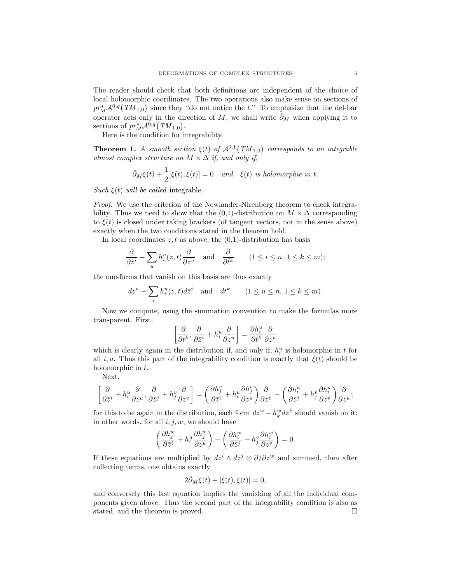The reader should check that both definitions are independent of the choice of local holomorphic coordinates. The two operations also make sense on sections of  $pr_M^*{\mathcal A}^{0,q}(TM_{1,0})$  since they "do not notice the t." To emphasize that the del-bar operator acts only in the direction of M, we shall write  $\bar{\partial}_M$  when applying it to sections of  $pr_M^* A^{0,q} (TM_{1,0}).$ 

Here is the condition for integrability.

**Theorem 1.** A smooth section  $\xi(t)$  of  $\mathcal{A}^{0,1}(TM_{1,0})$  corresponds to an integrable almost complex structure on  $M \times \Delta$  if, and only if,

$$
\bar{\partial}_M \xi(t) + \frac{1}{2} [\xi(t), \xi(t)] = 0 \quad and \quad \xi(t) \text{ is holomorphic in } t.
$$

Such  $\xi(t)$  will be called integrable.

Proof. We use the criterion of the Newlander-Nirenberg theorem to check integrability. Thus we need to show that the  $(0,1)$ -distribution on  $M \times \Delta$  corresponding to  $\xi(t)$  is closed under taking brackets (of tangent vectors, not in the sense above) exactly when the two conditions stated in the theorem hold.

In local coordinates  $z, t$  as above, the  $(0,1)$ -distribution has basis

$$
\frac{\partial}{\partial \bar{z}^i} + \sum_{u} h_i^u(z, t) \frac{\partial}{\partial z^u} \quad \text{and} \quad \frac{\partial}{\partial \bar{t}^k} \qquad (1 \le i \le n, \ 1 \le k \le m);
$$

the one-forms that vanish on this basis are thus exactly

$$
dz^{u} - \sum_{i} h_{i}^{u}(z, t) d\bar{z}^{i} \quad \text{and} \quad dt^{k} \qquad (1 \le u \le n, 1 \le k \le m).
$$

Now we compute, using the summation convention to make the formulas more transparent. First,

$$
\left[\frac{\partial}{\partial \bar{t}^k},\frac{\partial}{\partial \bar{z}^i}+h^u_i\frac{\partial}{\partial z^u}\right]=\frac{\partial h^u_i}{\partial \bar{t}^k}\frac{\partial}{\partial z^u}
$$

which is clearly again in the distribution if, and only if,  $h_i^u$  is holomorphic in t for all i, u. Thus this part of the integrability condition is exactly that  $\xi(t)$  should be holomorphic in  $t$ .

Next,

$$
\left[\frac{\partial}{\partial \bar{z}^i} + h^u_i\frac{\partial}{\partial z^u}, \frac{\partial}{\partial \bar{z}^j} + h^v_j\frac{\partial}{\partial z^v}\right] = \left(\frac{\partial h^v_j}{\partial \bar{z}^i} + h^u_i\frac{\partial h^v_j}{\partial z^u}\right)\frac{\partial}{\partial z^v} - \left(\frac{\partial h^u_i}{\partial \bar{z}^j} + h^v_j\frac{\partial h^u_i}{\partial z^v}\right)\frac{\partial}{\partial z^u};
$$

for this to be again in the distribution, each form  $dz^w - h_k^w d\bar{z}^k$  should vanish on it; in other words, for all  $i, j, w$ , we should have

$$
\left(\frac{\partial h_j^w}{\partial \bar{z}^i} + h_i^u \frac{\partial h_j^w}{\partial z^u}\right) - \left(\frac{\partial h_i^w}{\partial \bar{z}^j} + h_j^v \frac{\partial h_i^w}{\partial z^v}\right) = 0.
$$

If these equations are multiplied by  $d\bar{z}^i \wedge d\bar{z}^j \otimes \partial/\partial z^w$  and summed, then after collecting terms, one obtains exactly

$$
2\bar{\partial}_M\xi(t) + [\xi(t), \xi(t)] = 0,
$$

and conversely this last equation implies the vanishing of all the individual components given above. Thus the second part of the integrability condition is also as stated, and the theorem is proved.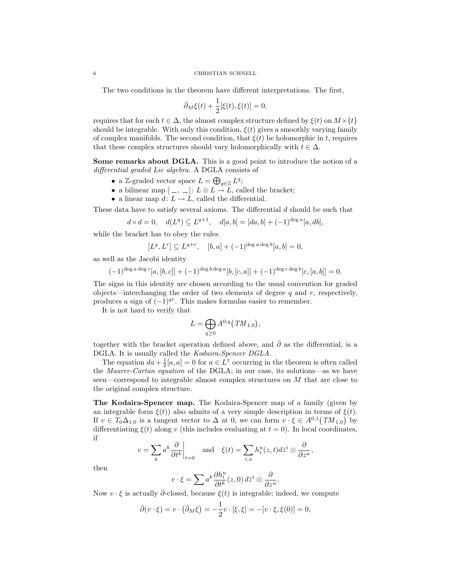The two conditions in the theorem have different interpretations. The first,

$$
\bar{\partial}_M \xi(t) + \frac{1}{2} [\xi(t), \xi(t)] = 0,
$$

requires that for each  $t \in \Delta$ , the almost complex structure defined by  $\xi(t)$  on  $M \times \{t\}$ should be integrable. With only this condition,  $\xi(t)$  gives a smoothly varying family of complex manifolds. The second condition, that  $\xi(t)$  be holomorphic in t, requires that these complex structures should vary holomorphically with  $t \in \Delta$ .

Some remarks about DGLA. This is a good point to introduce the notion of a differential graded Lie algebra. A DGLA consists of

- a Z-graded vector space  $L = \bigoplus_{q \in \mathbb{Z}} L^q$ ;
- a bilinear map  $[-, \_]: L \otimes L \to L$ , called the bracket;
- a linear map  $d: L \to L$ , called the differential.

These data have to satisfy several axioms. The differential d should be such that

$$
d\circ d=0,\quad d(L^q)\subseteq L^{q+1},\quad d[a,b]=[da,b]+(-1)^{\deg a}[a,db],
$$

while the bracket has to obey the rules

$$
[L^{q}, L^{r}] \subseteq L^{q+r}, \quad [b, a] + (-1)^{\deg a \deg b}[a, b] = 0,
$$

as well as the Jacobi identity

$$
(-1)^{\deg a \deg c}[a,[b,c]] + (-1)^{\deg b \deg a}[b,[c,a]] + (-1)^{\deg c \deg b}[c,[a,b]] = 0.
$$

The signs in this identity are chosen according to the usual convention for graded objects—interchanging the order of two elements of degree q and r, respectively, produces a sign of  $(-1)^{qr}$ . This makes formulas easier to remember.

It is not hard to verify that

$$
L=\bigoplus_{q\geq 0}A^{0,q}(TM_{1,0}),
$$

together with the bracket operation defined above, and  $\bar{\partial}$  as the differential, is a DGLA. It is usually called the *Kodaira-Spencer DGLA*.

The equation  $da + \frac{1}{2}[a, a] = 0$  for  $a \in L^1$  occurring in the theorem is often called the Maurer-Cartan equation of the DGLA; in our case, its solutions—as we have seen—correspond to integrable almost complex structures on  $M$  that are close to the original complex structure.

The Kodaira-Spencer map. The Kodaira-Spencer map of a family (given by an integrable form  $\xi(t)$  also admits of a very simple description in terms of  $\xi(t)$ . If  $v \in T_0 \Delta_{1,0}$  is a tangent vector to  $\Delta$  at 0, we can form  $v \cdot \xi \in A^{0,1}(TM_{1,0})$  by differentiating  $\xi(t)$  along v (this includes evaluating at  $t = 0$ ). In local coordinates, if

$$
v = \sum_{k} a^{k} \frac{\partial}{\partial t^{k}} \bigg|_{t=0} \quad \text{and} \quad \xi(t) = \sum_{i,u} h_{i}^{u}(z,t) d\bar{z}^{i} \otimes \frac{\partial}{\partial z^{u}},
$$

then

$$
v \cdot \xi = \sum a^k \frac{\partial h_i^u}{\partial t^k}(z,0) \, d\bar{z}^i \otimes \frac{\partial}{\partial z^u}.
$$

Now  $v \cdot \xi$  is actually  $\overline{\partial}$ -closed, because  $\xi(t)$  is integrable; indeed, we compute

$$
\bar{\partial}(v \cdot \xi) = v \cdot (\bar{\partial}_M \xi) = -\frac{1}{2}v \cdot [\xi, \xi] = -[v \cdot \xi, \xi(0)] = 0,
$$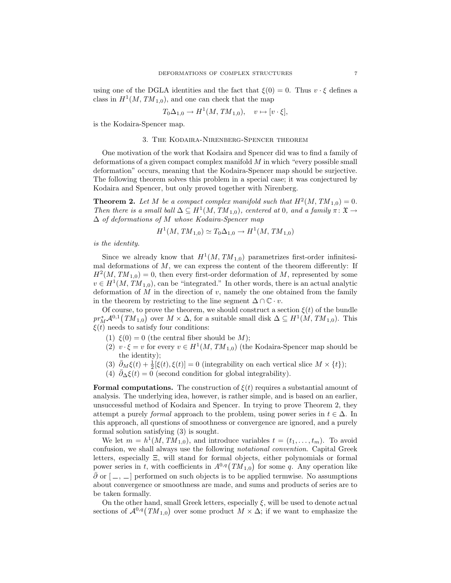using one of the DGLA identities and the fact that  $\xi(0) = 0$ . Thus  $v \cdot \xi$  defines a class in  $H^1(M, TM_{1,0})$ , and one can check that the map

$$
T_0\Delta_{1,0} \to H^1(M, TM_{1,0}), \quad v \mapsto [v \cdot \xi],
$$

is the Kodaira-Spencer map.

#### 3. The Kodaira-Nirenberg-Spencer theorem

One motivation of the work that Kodaira and Spencer did was to find a family of deformations of a given compact complex manifold M in which "every possible small deformation" occurs, meaning that the Kodaira-Spencer map should be surjective. The following theorem solves this problem in a special case; it was conjectured by Kodaira and Spencer, but only proved together with Nirenberg.

**Theorem 2.** Let M be a compact complex manifold such that  $H^2(M, TM_{1,0}) = 0$ . Then there is a small ball  $\Delta \subseteq H^1(M, TM_{1,0})$ , centered at 0, and a family  $\pi: \mathfrak{X} \to$  $\Delta$  of deformations of M whose Kodaira-Spencer map

$$
H^1(M, TM_{1,0}) \simeq T_0 \Delta_{1,0} \to H^1(M, TM_{1,0})
$$

is the identity.

Since we already know that  $H^1(M, TM_{1,0})$  parametrizes first-order infinitesimal deformations of  $M$ , we can express the content of the theorem differently: If  $H^2(M, TM_{1,0}) = 0$ , then every first-order deformation of M, represented by some  $v \in H<sup>1</sup>(M, TM<sub>1,0</sub>)$ , can be "integrated." In other words, there is an actual analytic deformation of  $M$  in the direction of  $v$ , namely the one obtained from the family in the theorem by restricting to the line segment  $\Delta \cap \mathbb{C} \cdot v$ .

Of course, to prove the theorem, we should construct a section  $\xi(t)$  of the bundle  $pr_M^*{\mathcal{A}}^{0,1}(TM_{1,0})$  over  $M \times \Delta$ , for a suitable small disk  $\Delta \subseteq H^1(M, TM_{1,0})$ . This  $\xi(t)$  needs to satisfy four conditions:

- (1)  $\xi(0) = 0$  (the central fiber should be M);
- (2)  $v \cdot \xi = v$  for every  $v \in H^1(M, TM_{1,0})$  (the Kodaira-Spencer map should be the identity);
- (3)  $\bar{\partial}_M\xi(t) + \frac{1}{2}[\xi(t), \xi(t)] = 0$  (integrability on each vertical slice  $M \times \{t\}$ );
- (4)  $\partial_{\Delta} \xi(t) = 0$  (second condition for global integrability).

**Formal computations.** The construction of  $\xi(t)$  requires a substantial amount of analysis. The underlying idea, however, is rather simple, and is based on an earlier, unsuccessful method of Kodaira and Spencer. In trying to prove Theorem 2, they attempt a purely *formal* approach to the problem, using power series in  $t \in \Delta$ . In this approach, all questions of smoothness or convergence are ignored, and a purely formal solution satisfying (3) is sought.

We let  $m = h^1(M, TM_{1,0})$ , and introduce variables  $t = (t_1, \ldots, t_m)$ . To avoid confusion, we shall always use the following notational convention. Capital Greek letters, especially Ξ, will stand for formal objects, either polynomials or formal power series in t, with coefficients in  $A^{0,q}(TM_{1,0})$  for some q. Any operation like  $\partial$  or  $\left[ \,-\, ,\, -\right]$  performed on such objects is to be applied termwise. No assumptions about convergence or smoothness are made, and sums and products of series are to be taken formally.

On the other hand, small Greek letters, especially  $\xi$ , will be used to denote actual sections of  $\mathcal{A}^{0,q}(TM_{1,0})$  over some product  $M \times \Delta$ ; if we want to emphasize the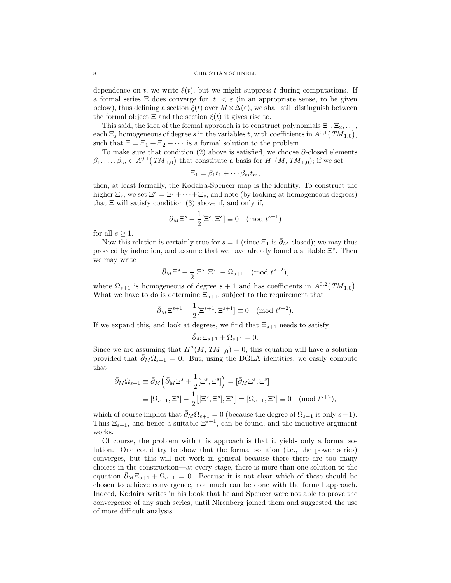#### 8 CHRISTIAN SCHNELL

dependence on t, we write  $\xi(t)$ , but we might suppress t during computations. If a formal series  $\Xi$  does converge for  $|t| < \varepsilon$  (in an appropriate sense, to be given below), thus defining a section  $\xi(t)$  over  $M \times \Delta(\varepsilon)$ , we shall still distinguish between the formal object  $\Xi$  and the section  $\xi(t)$  it gives rise to.

This said, the idea of the formal approach is to construct polynomials  $\Xi_1, \Xi_2, \ldots$ , each  $\Xi_s$  homogeneous of degree s in the variables t, with coefficients in  $A^{0,1}(TM_{1,0}),$ such that  $\Xi = \Xi_1 + \Xi_2 + \cdots$  is a formal solution to the problem.

To make sure that condition (2) above is satisfied, we choose  $\partial$ -closed elements  $\beta_1, \ldots, \beta_m \in A^{0,1}(TM_{1,0})$  that constitute a basis for  $H^1(M, TM_{1,0})$ ; if we set

$$
\Xi_1 = \beta_1 t_1 + \cdots \beta_m t_m,
$$

then, at least formally, the Kodaira-Spencer map is the identity. To construct the higher  $\Xi_s$ , we set  $\Xi^s = \Xi_1 + \cdots + \Xi_s$ , and note (by looking at homogeneous degrees) that  $\Xi$  will satisfy condition (3) above if, and only if,

$$
\bar{\partial}_M \Xi^s + \frac{1}{2} [\Xi^s, \Xi^s] \equiv 0 \pmod{t^{s+1}}
$$

for all  $s \geq 1$ .

Now this relation is certainly true for  $s = 1$  (since  $\Xi_1$  is  $\bar{\partial}_M$ -closed); we may thus proceed by induction, and assume that we have already found a suitable  $\Xi^s$ . Then we may write

$$
\bar{\partial}_M \Xi^s + \frac{1}{2} [\Xi^s, \Xi^s] \equiv \Omega_{s+1} \pmod{t^{s+2}},
$$

where  $\Omega_{s+1}$  is homogeneous of degree  $s+1$  and has coefficients in  $A^{0,2}(TM_{1,0})$ . What we have to do is determine  $\Xi_{s+1}$ , subject to the requirement that

$$
\bar{\partial}_M \Xi^{s+1} + \frac{1}{2} [\Xi^{s+1}, \Xi^{s+1}] \equiv 0 \pmod{t^{s+2}}.
$$

If we expand this, and look at degrees, we find that  $\Xi_{s+1}$  needs to satisfy

$$
\bar{\partial}_M \Xi_{s+1} + \Omega_{s+1} = 0.
$$

Since we are assuming that  $H^2(M, TM_{1,0}) = 0$ , this equation will have a solution provided that  $\bar{\partial}_M \Omega_{s+1} = 0$ . But, using the DGLA identities, we easily compute that

$$
\bar{\partial}_M \Omega_{s+1} \equiv \bar{\partial}_M \left( \bar{\partial}_M \Xi^s + \frac{1}{2} [\Xi^s, \Xi^s] \right) = [\bar{\partial}_M \Xi^s, \Xi^s]
$$
  

$$
\equiv [\Omega_{s+1}, \Xi^s] - \frac{1}{2} [[\Xi^s, \Xi^s], \Xi^s] = [\Omega_{s+1}, \Xi^s] \equiv 0 \pmod{t^{s+2}},
$$

which of course implies that  $\bar{\partial}_M \Omega_{s+1} = 0$  (because the degree of  $\Omega_{s+1}$  is only  $s+1$ ). Thus  $\Xi_{s+1}$ , and hence a suitable  $\Xi^{s+1}$ , can be found, and the inductive argument works.

Of course, the problem with this approach is that it yields only a formal solution. One could try to show that the formal solution (i.e., the power series) converges, but this will not work in general because there there are too many choices in the construction—at every stage, there is more than one solution to the equation  $\partial_M \Xi_{s+1} + \Omega_{s+1} = 0$ . Because it is not clear which of these should be chosen to achieve convergence, not much can be done with the formal approach. Indeed, Kodaira writes in his book that he and Spencer were not able to prove the convergence of any such series, until Nirenberg joined them and suggested the use of more difficult analysis.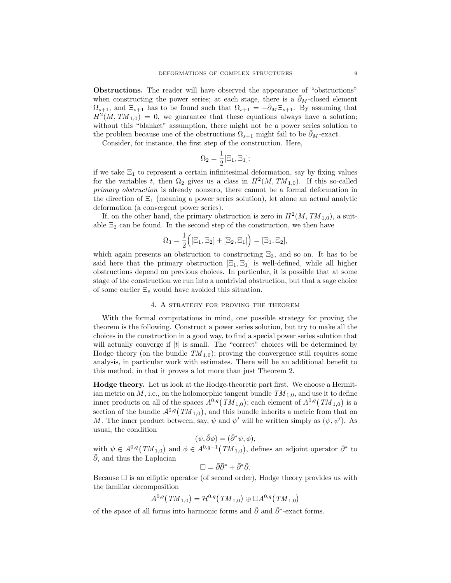Obstructions. The reader will have observed the appearance of "obstructions" when constructing the power series; at each stage, there is a  $\partial_M$ -closed element  $\Omega_{s+1}$ , and  $\Xi_{s+1}$  has to be found such that  $\Omega_{s+1} = -\overline{\partial}_M \Xi_{s+1}$ . By assuming that  $H^2(M, TM_{1,0}) = 0$ , we guarantee that these equations always have a solution; without this "blanket" assumption, there might not be a power series solution to the problem because one of the obstructions  $\Omega_{s+1}$  might fail to be  $\partial_M$ -exact.

Consider, for instance, the first step of the construction. Here,

$$
\Omega_2=\frac{1}{2}[\Xi_1,\Xi_1];
$$

if we take  $\Xi_1$  to represent a certain infinitesimal deformation, say by fixing values for the variables t, then  $\Omega_2$  gives us a class in  $H^2(M, TM_{1,0})$ . If this so-called primary obstruction is already nonzero, there cannot be a formal deformation in the direction of  $\Xi_1$  (meaning a power series solution), let alone an actual analytic deformation (a convergent power series).

If, on the other hand, the primary obstruction is zero in  $H^2(M, TM_{1,0})$ , a suitable  $\Xi_2$  can be found. In the second step of the construction, we then have

$$
\Omega_3 = \frac{1}{2} ([\Xi_1, \Xi_2] + [\Xi_2, \Xi_1]) = [\Xi_1, \Xi_2],
$$

which again presents an obstruction to constructing  $\Xi_3$ , and so on. It has to be said here that the primary obstruction  $[\Xi_1, \Xi_1]$  is well-defined, while all higher obstructions depend on previous choices. In particular, it is possible that at some stage of the construction we run into a nontrivial obstruction, but that a sage choice of some earlier  $\Xi_s$  would have avoided this situation.

### 4. A strategy for proving the theorem

With the formal computations in mind, one possible strategy for proving the theorem is the following. Construct a power series solution, but try to make all the choices in the construction in a good way, to find a special power series solution that will actually converge if  $|t|$  is small. The "correct" choices will be determined by Hodge theory (on the bundle  $TM_{1,0}$ ); proving the convergence still requires some analysis, in particular work with estimates. There will be an additional benefit to this method, in that it proves a lot more than just Theorem 2.

Hodge theory. Let us look at the Hodge-theoretic part first. We choose a Hermitian metric on  $M$ , i.e., on the holomorphic tangent bundle  $TM_{1,0}$ , and use it to define inner products on all of the spaces  $A^{0,q}(TM_{1,0})$ ; each element of  $A^{0,q}(TM_{1,0})$  is a section of the bundle  $\mathcal{A}^{0,q}(TM_{1,0}),$  and this bundle inherits a metric from that on M. The inner product between, say,  $\psi$  and  $\psi'$  will be written simply as  $(\psi, \psi')$ . As usual, the condition

$$
(\psi, \bar{\partial}\phi) = (\bar{\partial}^*\psi, \phi),
$$

with  $\psi \in A^{0,q}(TM_{1,0})$  and  $\phi \in A^{0,q-1}(TM_{1,0}),$  defines an adjoint operator  $\bar{\partial}^*$  to  $\partial$ , and thus the Laplacian

$$
\Box = \bar{\partial}\bar{\partial}^* + \bar{\partial}^*\bar{\partial}.
$$

Because  $\square$  is an elliptic operator (of second order), Hodge theory provides us with the familiar decomposition

$$
A^{0,q}\bigl(\mathit{TM}_{1,0}\bigr)=\mathcal{H}^{0,q}\bigl(\mathit{TM}_{1,0}\bigr)\oplus\Box A^{0,q}\bigl(\mathit{TM}_{1,0}\bigr)
$$

of the space of all forms into harmonic forms and  $\bar{\partial}$  and  $\bar{\partial}$ <sup>\*</sup>-exact forms.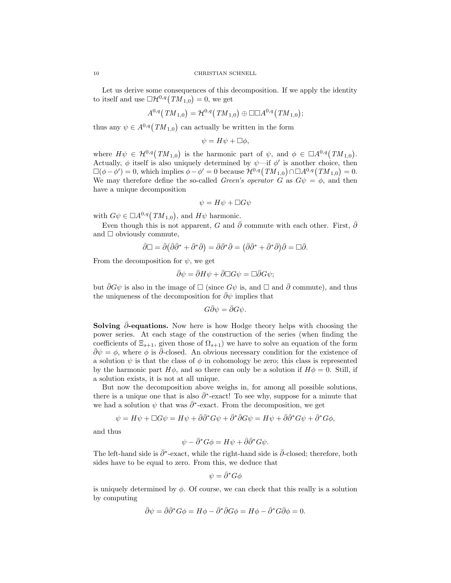Let us derive some consequences of this decomposition. If we apply the identity to itself and use  $\Box \mathcal{H}^{0,q}(TM_{1,0})=0$ , we get

$$
A^{0,q}\big(TM_{1,0}\big) = {\cal H}^{0,q}\big(TM_{1,0}\big) \oplus \Box \Box A^{0,q}\big(TM_{1,0}\big);
$$

thus any  $\psi \in A^{0,q}(TM_{1,0})$  can actually be written in the form

$$
\psi = H\psi + \Box \phi,
$$

where  $H\psi \in \mathcal{H}^{0,q}(TM_{1,0})$  is the harmonic part of  $\psi$ , and  $\phi \in \Box A^{0,q}(TM_{1,0})$ . Actually,  $\phi$  itself is also uniquely determined by  $\psi$ —if  $\phi'$  is another choice, then  $\square(\phi - \phi') = 0$ , which implies  $\phi - \phi' = 0$  because  $\mathcal{H}^{0,q}(TM_{1,0}) \cap \square A^{0,q}(TM_{1,0}) = 0$ . We may therefore define the so-called *Green's operator* G as  $G\psi = \phi$ , and then have a unique decomposition

$$
\psi = H\psi + \Box G\psi
$$

with  $G\psi \in \Box A^{0,q}(TM_{1,0}),$  and  $H\psi$  harmonic.

Even though this is not apparent, G and  $\bar{\partial}$  commute with each other. First,  $\bar{\partial}$ and  $\Box$  obviously commute,

$$
\bar{\partial}\Box = \bar{\partial}(\bar{\partial}\bar{\partial}^* + \bar{\partial}^*\bar{\partial}) = \bar{\partial}\bar{\partial}^*\bar{\partial} = (\bar{\partial}\bar{\partial}^* + \bar{\partial}^*\bar{\partial})\bar{\partial} = \Box\bar{\partial}.
$$

From the decomposition for  $\psi$ , we get

$$
\bar{\partial}\psi = \bar{\partial}H\psi + \bar{\partial}\Box G\psi = \Box\bar{\partial}G\psi;
$$

but  $\bar{\partial}G\psi$  is also in the image of  $\square$  (since  $G\psi$  is, and  $\square$  and  $\bar{\partial}$  commute), and thus the uniqueness of the decomposition for  $\bar{\partial}\psi$  implies that

$$
G\bar{\partial}\psi=\bar{\partial}G\psi.
$$

Solving  $\partial$ -equations. Now here is how Hodge theory helps with choosing the power series. At each stage of the construction of the series (when finding the coefficients of  $\Xi_{s+1}$ , given those of  $\Omega_{s+1}$ ) we have to solve an equation of the form  $\bar{\partial}\psi = \phi$ , where  $\phi$  is  $\bar{\partial}$ -closed. An obvious necessary condition for the existence of a solution  $\psi$  is that the class of  $\phi$  in cohomology be zero; this class is represented by the harmonic part  $H\phi$ , and so there can only be a solution if  $H\phi = 0$ . Still, if a solution exists, it is not at all unique.

But now the decomposition above weighs in, for among all possible solutions, there is a unique one that is also  $\bar{\partial}$ <sup>\*</sup>-exact! To see why, suppose for a minute that we had a solution  $\psi$  that was  $\bar{\partial}^*$ -exact. From the decomposition, we get

$$
\psi = H\psi + \Box G\psi = H\psi + \bar{\partial}\bar{\partial}^* G\psi + \bar{\partial}^*\bar{\partial}G\psi = H\psi + \bar{\partial}\bar{\partial}^* G\psi + \bar{\partial}^* G\phi,
$$

and thus

$$
\psi - \bar{\partial}^* G \phi = H \psi + \bar{\partial} \bar{\partial}^* G \psi.
$$

The left-hand side is  $\bar{\partial}$ <sup>\*</sup>-exact, while the right-hand side is  $\bar{\partial}$ -closed; therefore, both sides have to be equal to zero. From this, we deduce that

$$
\psi = \bar{\partial}^* G \phi
$$

is uniquely determined by  $\phi$ . Of course, we can check that this really is a solution by computing

$$
\bar{\partial}\psi = \bar{\partial}\bar{\partial}^*G\phi = H\phi - \bar{\partial}^*\bar{\partial}G\phi = H\phi - \bar{\partial}^*G\bar{\partial}\phi = 0.
$$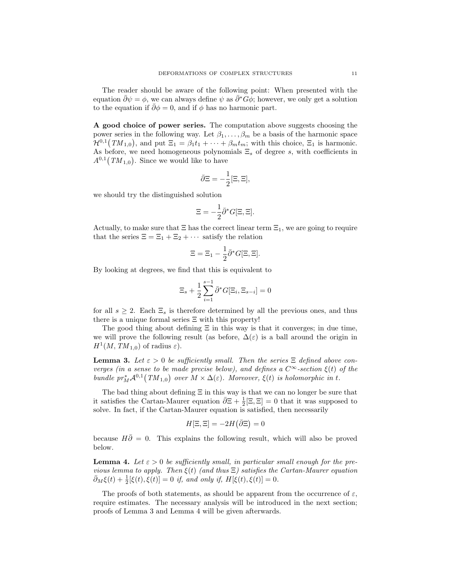The reader should be aware of the following point: When presented with the equation  $\bar{\partial}\psi = \phi$ , we can always define  $\psi$  as  $\bar{\partial}^*G\phi$ ; however, we only get a solution to the equation if  $\partial \phi = 0$ , and if  $\phi$  has no harmonic part.

A good choice of power series. The computation above suggests choosing the power series in the following way. Let  $\beta_1, \ldots, \beta_m$  be a basis of the harmonic space  $\mathcal{H}^{0,1}(TM_{1,0}),$  and put  $\Xi_1 = \beta_1 t_1 + \cdots + \beta_m t_m$ ; with this choice,  $\Xi_1$  is harmonic. As before, we need homogeneous polynomials  $\Xi_s$  of degree s, with coefficients in  $A^{0,1}(TM_{1,0})$ . Since we would like to have

$$
\bar{\partial}\Xi = -\frac{1}{2}[\Xi, \Xi],
$$

we should try the distinguished solution

$$
\Xi = -\frac{1}{2}\bar{\partial}^*G[\Xi, \Xi].
$$

Actually, to make sure that  $\Xi$  has the correct linear term  $\Xi_1$ , we are going to require that the series  $\Xi = \Xi_1 + \Xi_2 + \cdots$  satisfy the relation

$$
\Xi = \Xi_1 - \frac{1}{2}\bar{\partial}^*G[\Xi, \Xi].
$$

By looking at degrees, we find that this is equivalent to

$$
\Xi_s + \frac{1}{2} \sum_{i=1}^{s-1} \bar{\partial}^* G[\Xi_i, \Xi_{s-i}] = 0
$$

for all  $s \geq 2$ . Each  $\Xi_s$  is therefore determined by all the previous ones, and thus there is a unique formal series  $\Xi$  with this property!

The good thing about defining  $\Xi$  in this way is that it converges; in due time, we will prove the following result (as before,  $\Delta(\varepsilon)$  is a ball around the origin in  $H^1(M, TM_{1,0})$  of radius  $\varepsilon$ ).

**Lemma 3.** Let  $\varepsilon > 0$  be sufficiently small. Then the series  $\Xi$  defined above converges (in a sense to be made precise below), and defines a  $C^{\infty}$ -section  $\xi(t)$  of the bundle  $pr_M^*{\mathcal A}^{0,1}(TM_{1,0})$  over  $M\times\Delta(\varepsilon)$ . Moreover,  $\xi(t)$  is holomorphic in t.

The bad thing about defining  $\Xi$  in this way is that we can no longer be sure that it satisfies the Cartan-Maurer equation  $\bar{\partial} \Xi + \frac{1}{2} [\Xi, \Xi] = 0$  that it was supposed to solve. In fact, if the Cartan-Maurer equation is satisfied, then necessarily

$$
H[\Xi,\Xi] = -2H(\bar{\partial}\Xi) = 0
$$

because  $H\overline{\partial} = 0$ . This explains the following result, which will also be proved below.

**Lemma 4.** Let  $\varepsilon > 0$  be sufficiently small, in particular small enough for the previous lemma to apply. Then  $\xi(t)$  (and thus  $\Xi$ ) satisfies the Cartan-Maurer equation  $\bar{\partial}_M \xi(t) + \frac{1}{2} [\xi(t), \xi(t)] = 0$  if, and only if,  $H[\xi(t), \xi(t)] = 0$ .

The proofs of both statements, as should be apparent from the occurrence of  $\varepsilon$ , require estimates. The necessary analysis will be introduced in the next section; proofs of Lemma 3 and Lemma 4 will be given afterwards.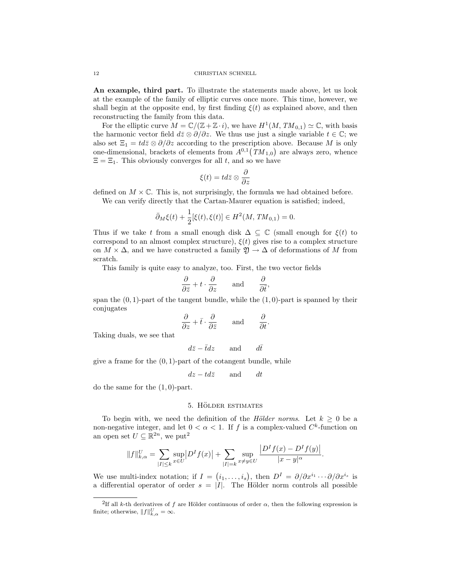An example, third part. To illustrate the statements made above, let us look at the example of the family of elliptic curves once more. This time, however, we shall begin at the opposite end, by first finding  $\xi(t)$  as explained above, and then reconstructing the family from this data.

For the elliptic curve  $M = \mathbb{C}/(\mathbb{Z} + \mathbb{Z} \cdot i)$ , we have  $H^1(M, TM_{0,1}) \simeq \mathbb{C}$ , with basis the harmonic vector field  $d\bar{z} \otimes \partial/\partial z$ . We thus use just a single variable  $t \in \mathbb{C}$ ; we also set  $\Xi_1 = td\overline{z} \otimes \partial/\partial z$  according to the prescription above. Because M is only one-dimensional, brackets of elements from  $A^{0,1}(TM_{1,0})$  are always zero, whence  $\Xi = \Xi_1$ . This obviously converges for all t, and so we have

$$
\xi(t)=td\bar{z}\otimes\frac{\partial}{\partial z}
$$

defined on  $M \times \mathbb{C}$ . This is, not surprisingly, the formula we had obtained before. We can verify directly that the Cartan-Maurer equation is satisfied; indeed,

$$
\bar{\partial}_M \xi(t) + \frac{1}{2} [\xi(t), \xi(t)] \in H^2(M, TM_{0,1}) = 0.
$$

Thus if we take t from a small enough disk  $\Delta \subseteq \mathbb{C}$  (small enough for  $\xi(t)$  to correspond to an almost complex structure),  $\xi(t)$  gives rise to a complex structure on  $M \times \Delta$ , and we have constructed a family  $\mathfrak{Y} \to \Delta$  of deformations of M from scratch.

This family is quite easy to analyze, too. First, the two vector fields

$$
\frac{\partial}{\partial \bar{z}} + t \cdot \frac{\partial}{\partial z} \quad \text{and} \quad \frac{\partial}{\partial \bar{t}},
$$

span the  $(0, 1)$ -part of the tangent bundle, while the  $(1, 0)$ -part is spanned by their conjugates

$$
\frac{\partial}{\partial z} + \bar{t} \cdot \frac{\partial}{\partial \bar{z}} \quad \text{and} \quad \frac{\partial}{\partial t}.
$$

Taking duals, we see that

$$
d\bar{z} - \bar{t}dz \qquad \text{and} \qquad d\bar{t}
$$

give a frame for the  $(0, 1)$ -part of the cotangent bundle, while

$$
dz - td\overline{z}
$$
 and  $dt$ 

do the same for the  $(1,0)$ -part.

#### 5. HÖLDER ESTIMATES

To begin with, we need the definition of the *Hölder norms*. Let  $k \geq 0$  be a non-negative integer, and let  $0 < \alpha < 1$ . If f is a complex-valued  $C<sup>k</sup>$ -function on an open set  $U \subseteq \mathbb{R}^{2n}$ , we put<sup>2</sup>

$$
||f||_{k,\alpha}^U = \sum_{|I| \le k} \sup_{x \in U} |D^I f(x)| + \sum_{|I| = k} \sup_{x \ne y \in U} \frac{|D^I f(x) - D^I f(y)|}{|x - y|^{\alpha}}.
$$

We use multi-index notation; if  $I = (i_1, \ldots, i_s)$ , then  $D^I = \partial/\partial x^{i_1} \cdots \partial/\partial x^{i_s}$  is a differential operator of order  $s = |\mathbf{l}|$ . The Hölder norm controls all possible

<sup>&</sup>lt;sup>2</sup>If all k-th derivatives of f are Hölder continuous of order  $\alpha$ , then the following expression is finite; otherwise,  $||f||_{k,\alpha}^U = \infty$ .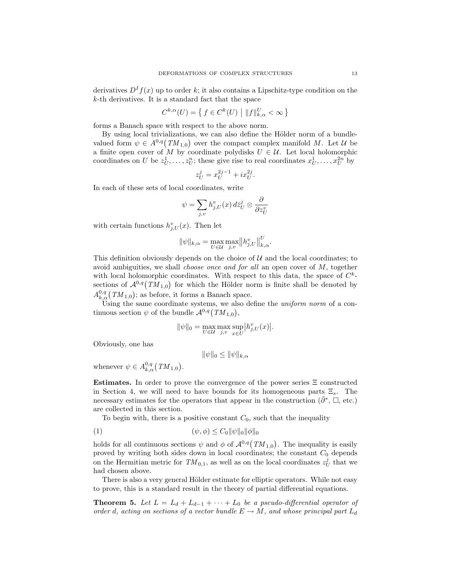derivatives  $D^{I} f(x)$  up to order k; it also contains a Lipschitz-type condition on the  $k$ -th derivatives. It is a standard fact that the space

$$
C^{k,\alpha}(U) = \left\{ f \in C^k(U) \mid ||f||_{k,\alpha}^U < \infty \right\}
$$

forms a Banach space with respect to the above norm.

By using local trivializations, we can also define the Hölder norm of a bundlevalued form  $\psi \in A^{0,q}(TM_{1,0})$  over the compact complex manifold M. Let U be a finite open cover of M by coordinate polydisks  $U \in \mathcal{U}$ . Let local holomorphic coordinates on U be  $z_U^1, \ldots, z_U^n$ ; these give rise to real coordinates  $x_U^1, \ldots, x_U^{2n}$  by

$$
z_U^j = x_U^{2j-1} + ix_U^{2j}.
$$

In each of these sets of local coordinates, write

$$
\psi = \sum_{j,v} h_{j,U}^v(x) \, d\bar{z}_U^j \otimes \frac{\partial}{\partial z_U^v}
$$

with certain functions  $h_{j,U}^v(x)$ . Then let

$$
\|\psi\|_{k,\alpha} = \max_{U \in \mathcal{U}} \max_{j,v} \|h_{j,U}^v\|_{k,\alpha}^U.
$$

This definition obviously depends on the choice of  $U$  and the local coordinates; to avoid ambiguities, we shall *choose once and for all* an open cover of  $M$ , together with local holomorphic coordinates. With respect to this data, the space of  $C^k$ sections of  $\mathcal{A}^{0,q}(TM_{1,0})$  for which the Hölder norm is finite shall be denoted by  $A_{k,\alpha}^{0,q}(TM_{1,0});$  as before, it forms a Banach space.

Using the same coordinate systems, we also define the *uniform norm* of a continuous section  $\psi$  of the bundle  $\mathcal{A}^{0,q}(TM_{1,0}),$ 

$$
\|\psi\|_{0} = \max_{U \in \mathcal{U}} \max_{j,v} \sup_{x \in U} |h^{v}_{j,U}(x)|.
$$

Obviously, one has

$$
\|\psi\|_0 \le \|\psi\|_{k,\alpha}
$$

whenever  $\psi \in A_{k,\alpha}^{0,q}(TM_{1,0}).$ 

Estimates. In order to prove the convergence of the power series Ξ constructed in Section 4, we will need to have bounds for its homogeneous parts  $\Xi_s$ . The necessary estimates for the operators that appear in the construction  $(\bar{\partial}^*, \Box, \text{etc.})$ are collected in this section.

To begin with, there is a positive constant  $C_0$ , such that the inequality

$$
(1) \qquad \qquad (\psi, \phi) \le C_0 \|\psi\|_0 \|\phi\|_0
$$

holds for all continuous sections  $\psi$  and  $\phi$  of  $\mathcal{A}^{0,q}(TM_{1,0})$ . The inequality is easily proved by writing both sides down in local coordinates; the constant  $C_0$  depends on the Hermitian metric for  $TM_{0,1}$ , as well as on the local coordinates  $z_U^j$  that we had chosen above.

There is also a very general Hölder estimate for elliptic operators. While not easy to prove, this is a standard result in the theory of partial differential equations.

**Theorem 5.** Let  $L = L_d + L_{d-1} + \cdots + L_0$  be a pseudo-differential operator of order d, acting on sections of a vector bundle  $E \to M$ , and whose principal part  $L_d$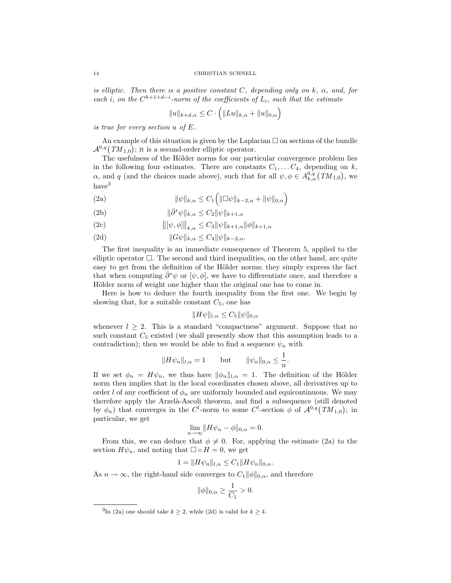is elliptic. Then there is a positive constant C, depending only on k,  $\alpha$ , and, for each i, on the  $C^{k+1+d-i}$ -norm of the coefficients of  $L_i$ , such that the estimate

$$
||u||_{k+d,\alpha} \leq C \cdot \left( ||Lu||_{k,\alpha} + ||u||_{0,\alpha} \right)
$$

is true for every section u of E.

An example of this situation is given by the Laplacian  $\Box$  on sections of the bundle  $\mathcal{A}^{0,q}(TM_{1,0});$  it is a second-order elliptic operator.

The usefulness of the Hölder norms for our particular convergence problem lies in the following four estimates. There are constants  $C_1, \ldots, C_4$ , depending on k,  $\alpha$ , and q (and the choices made above), such that for all  $\psi, \phi \in A_{k,\alpha}^{0,q}(TM_{1,0}),$  we  $\mbox{have}^3$ 

(2a) 
$$
\|\psi\|_{k,\alpha} \leq C_1 \left( \|\Box \psi\|_{k-2,\alpha} + \|\psi\|_{0,\alpha} \right)
$$

(2b) 
$$
\|\bar{\partial}^*\psi\|_{k,\alpha} \leq C_2 \|\psi\|_{k+1,\alpha}
$$

(2c) 
$$
\|[\psi,\phi]\|_{k,\alpha} \leq C_3 \|\psi\|_{k+1,\alpha} \|\phi\|_{k+1,\alpha}
$$

(2d) 
$$
||G\psi||_{k,\alpha} \leq C_4 ||\psi||_{k-2,\alpha}.
$$

The first inequality is an immediate consequence of Theorem 5, applied to the elliptic operator  $\Box$ . The second and third inequalities, on the other hand, are quite easy to get from the definition of the Hölder norms; they simply express the fact that when computing  $\partial^*\psi$  or  $[\psi, \phi]$ , we have to differentiate once, and therefore a Hölder norm of weight one higher than the original one has to come in.

Here is how to deduce the fourth inequality from the first one. We begin by showing that, for a suitable constant  $C_5$ , one has

$$
||H\psi||_{l,\alpha} \leq C_5 ||\psi||_{0,\alpha}
$$

whenever  $l \geq 2$ . This is a standard "compactness" argument. Suppose that no such constant  $C_5$  existed (we shall presently show that this assumption leads to a contradiction); then we would be able to find a sequence  $\psi_n$  with

$$
||H\psi_n||_{l,\alpha} = 1 \quad \text{but} \quad ||\psi_n||_{0,\alpha} \le \frac{1}{n}.
$$

If we set  $\phi_n = H\psi_n$ , we thus have  $\|\phi_n\|_{l,\alpha} = 1$ . The definition of the Hölder norm then implies that in the local coordinates chosen above, all derivatives up to order l of any coefficient of  $\phi_n$  are uniformly bounded and equicontinuous. We may therefore apply the Arzelà-Ascoli theorem, and find a subsequence (still denoted by  $\phi_n$ ) that converges in the C<sup>l</sup>-norm to some C<sup>l</sup>-section  $\phi$  of  $\mathcal{A}^{0,q}(TM_{1,0})$ ; in particular, we get

$$
\lim_{n \to \infty} ||H\psi_n - \phi||_{0,\alpha} = 0.
$$

From this, we can deduce that  $\phi \neq 0$ . For, applying the estimate (2a) to the section  $H\psi_n$ , and noting that  $\Box \circ H = 0$ , we get

$$
1 = ||H\psi_n||_{l,\alpha} \le C_1 ||H\psi_n||_{0,\alpha}.
$$

As  $n \to \infty$ , the right-hand side converges to  $C_1 ||\phi||_{0,\alpha}$ , and therefore

$$
\|\phi\|_{0,\alpha} \ge \frac{1}{C_1} > 0.
$$

<sup>&</sup>lt;sup>3</sup>In (2a) one should take  $k \geq 2$ , while (2d) is valid for  $k \geq 4$ .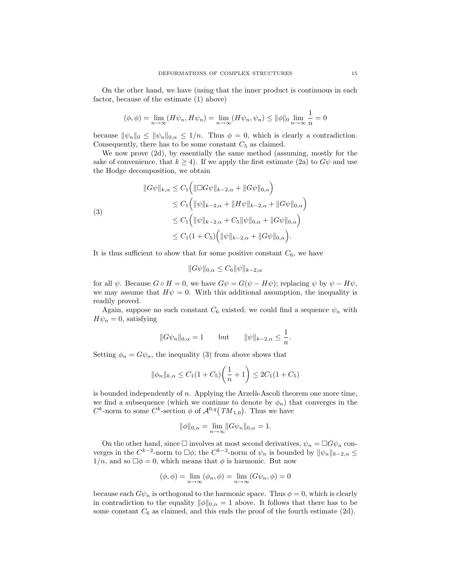On the other hand, we have (using that the inner product is continuous in each factor, because of the estimate (1) above)

$$
(\phi, \phi) = \lim_{n \to \infty} (H\psi_n, H\psi_n) = \lim_{n \to \infty} (H\psi_n, \psi_n) \le ||\phi||_0 \lim_{n \to \infty} \frac{1}{n} = 0
$$

because  $\|\psi_n\|_0 \le \|\psi_n\|_{0,\alpha} \le 1/n$ . Thus  $\phi = 0$ , which is clearly a contradiction. Consequently, there has to be some constant  $C_5$  as claimed.

We now prove (2d), by essentially the same method (assuming, mostly for the sake of convenience, that  $k \geq 4$ ). If we apply the first estimate (2a) to  $G\psi$  and use the Hodge decomposition, we obtain

$$
\|G\psi\|_{k,\alpha} \leq C_1 \Big( \|\Box G\psi\|_{k-2,\alpha} + \|G\psi\|_{0,\alpha} \Big) \leq C_1 \Big( \|\psi\|_{k-2,\alpha} + \|H\psi\|_{k-2,\alpha} + \|G\psi\|_{0,\alpha} \Big) \leq C_1 \Big( \|\psi\|_{k-2,\alpha} + C_5 \|\psi\|_{0,\alpha} + \|G\psi\|_{0,\alpha} \Big) \leq C_1 (1 + C_5) \Big( \|\psi\|_{k-2,\alpha} + \|G\psi\|_{0,\alpha} \Big).
$$

It is thus sufficient to show that for some positive constant  $C_6$ , we have

$$
||G\psi||_{0,\alpha} \leq C_6 ||\psi||_{k-2,\alpha}
$$

for all  $\psi$ . Because  $G \circ H = 0$ , we have  $G\psi = G(\psi - H\psi)$ ; replacing  $\psi$  by  $\psi - H\psi$ , we may assume that  $H\psi = 0$ . With this additional assumption, the inequality is readily proved.

Again, suppose no such constant  $C_6$  existed; we could find a sequence  $\psi_n$  with  $H\psi_n = 0$ , satisfying

$$
||G\psi_n||_{0,\alpha} = 1 \quad \text{but} \quad ||\psi||_{k-2,\alpha} \le \frac{1}{n}.
$$

Setting  $\phi_n = G\psi_n$ , the inequality (3) from above shows that

$$
\|\phi_n\|_{k,\alpha} \le C_1(1+C_5)\left(\frac{1}{n}+1\right) \le 2C_1(1+C_5)
$$

is bounded independently of  $n$ . Applying the Arzelà-Ascoli theorem one more time, we find a subsequence (which we continue to denote by  $\phi_n$ ) that converges in the  $C^k$ -norm to some  $C^k$ -section  $\phi$  of  $\mathcal{A}^{0,q}(TM_{1,0})$ . Thus we have

$$
\|\phi\|_{0,\alpha} = \lim_{n \to \infty} \|G\psi_n\|_{0,\alpha} = 1.
$$

On the other hand, since  $\Box$  involves at most second derivatives,  $\psi_n = \Box G \psi_n$  converges in the  $C^{k-2}$ -norm to  $\Box \phi$ ; the  $C^{k-2}$ -norm of  $\psi_n$  is bounded by  $||\psi_n||_{k-2,\alpha} \le$  $1/n$ , and so  $\Box \phi = 0$ , which means that  $\phi$  is harmonic. But now

$$
(\phi, \phi) = \lim_{n \to \infty} (\phi_n, \phi) = \lim_{n \to \infty} (G\psi_n, \phi) = 0
$$

because each  $G\psi_n$  is orthogonal to the harmonic space. Thus  $\phi = 0$ , which is clearly in contradiction to the equality  $\|\phi\|_{0,\alpha} = 1$  above. It follows that there has to be some constant  $C_6$  as claimed, and this ends the proof of the fourth estimate (2d).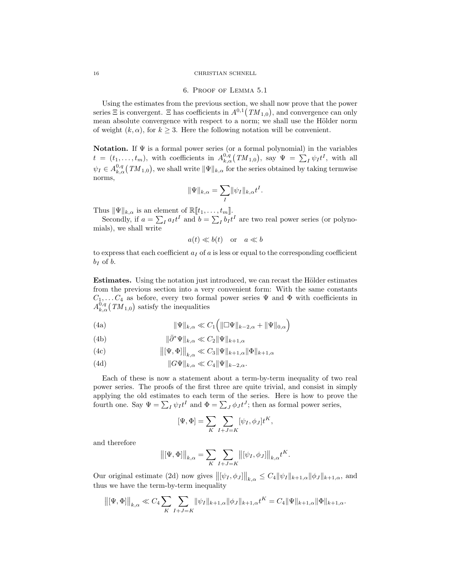#### 16 CHRISTIAN SCHNELL

### 6. Proof of Lemma 5.1

Using the estimates from the previous section, we shall now prove that the power series  $\Xi$  is convergent.  $\Xi$  has coefficients in  $A^{0,1}(TM_{1,0}),$  and convergence can only mean absolute convergence with respect to a norm; we shall use the Hölder norm of weight  $(k, \alpha)$ , for  $k \geq 3$ . Here the following notation will be convenient.

Notation. If  $\Psi$  is a formal power series (or a formal polynomial) in the variables  $t = (t_1, \ldots, t_m)$ , with coefficients in  $A_{k,\alpha}^{0,q}(TM_{1,0})$ , say  $\Psi = \sum_I \psi_I t^I$ , with all  $\psi_I \in A^{0,q}_{k,\alpha}(TM_{1,0}),$  we shall write  $\|\Psi\|_{k,\alpha}$  for the series obtained by taking termwise norms,

$$
\|\Psi\|_{k,\alpha} = \sum_{I} \|\psi_I\|_{k,\alpha} t^I.
$$

Thus  $\|\Psi\|_{k,\alpha}$  is an element of  $\mathbb{R}[[t_1,\ldots,t_m]].$ <br>Secondly, if  $a = \sum_I a_I t^I$  and  $b = \sum_I b_I t^I$  are two real power series (or polynomials), we shall write

$$
a(t) \ll b(t)
$$
 or  $a \ll b$ 

to express that each coefficient  $a<sub>I</sub>$  of a is less or equal to the corresponding coefficient  $b_I$  of  $b$ .

**Estimates.** Using the notation just introduced, we can recast the Hölder estimates from the previous section into a very convenient form: With the same constants  $C_1, \ldots, C_4$  as before, every two formal power series  $\Psi$  and  $\Phi$  with coefficients in  $A_{k,\alpha}^{0,q}(TM_{1,0})$  satisfy the inequalities

(4a) 
$$
\|\Psi\|_{k,\alpha} \ll C_1 \left( \|\Box \Psi\|_{k-2,\alpha} + \|\Psi\|_{0,\alpha} \right)
$$

(4b) 
$$
\|\bar{\partial}^* \Psi\|_{k,\alpha} \ll C_2 \|\Psi\|_{k+1,\alpha}
$$

(4c) 
$$
\|[\Psi,\Phi]\|_{k,\alpha} \ll C_3 \|\Psi\|_{k+1,\alpha} \|\Phi\|_{k+1,\alpha}
$$

(4d) 
$$
||G\Psi||_{k,\alpha} \ll C_4 ||\Psi||_{k-2,\alpha}.
$$

Each of these is now a statement about a term-by-term inequality of two real power series. The proofs of the first three are quite trivial, and consist in simply applying the old estimates to each term of the series. Here is how to prove the fourth one. Say  $\Psi = \sum_I \psi_I t^I$  and  $\Phi = \sum_J \phi_J t^J$ ; then as formal power series,

$$
[\Psi,\Phi]=\sum_K\sum_{I+J=K}[\psi_I,\phi_J]t^K,
$$

and therefore

$$
\left\| [\Psi, \Phi] \right\|_{k, \alpha} = \sum_{K} \sum_{I + J = K} \left\| [\psi_I, \phi_J] \right\|_{k, \alpha} t^K.
$$

Our original estimate (2d) now gives  $\left\|\left[\psi_I, \phi_J\right]\right\|_{k,\alpha} \leq C_4 \|\psi_I\|_{k+1,\alpha} \|\phi_J\|_{k+1,\alpha}$ , and thus we have the term-by-term inequality

$$
\left\| [\Psi, \Phi] \right\|_{k, \alpha} \ll C_4 \sum_{K} \sum_{I + J = K} \|\psi_I\|_{k+1, \alpha} \|\phi_J\|_{k+1, \alpha} t^K = C_4 \|\Psi\|_{k+1, \alpha} \|\Phi\|_{k+1, \alpha}.
$$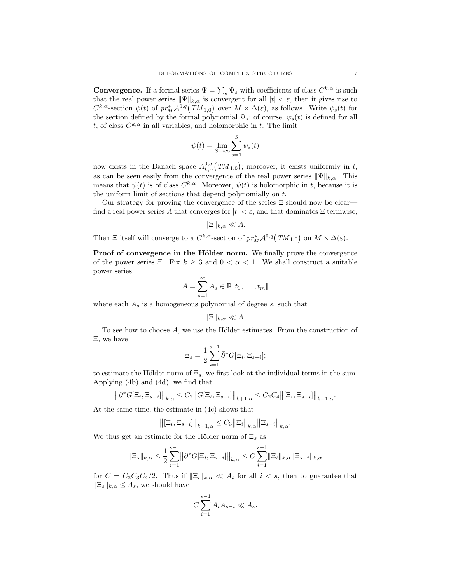**Convergence.** If a formal series  $\Psi = \sum_s \Psi_s$  with coefficients of class  $C^{k,\alpha}$  is such that the real power series  $\|\Psi\|_{k,\alpha}$  is convergent for all  $|t| < \varepsilon$ , then it gives rise to  $C^{k,\alpha}$ -section  $\psi(t)$  of  $pr_M^*\mathcal{A}^{0,q}(TM_{1,0})$  over  $M \times \Delta(\varepsilon)$ , as follows. Write  $\psi_s(t)$  for the section defined by the formal polynomial  $\Psi_s$ ; of course,  $\psi_s(t)$  is defined for all t, of class  $C^{k,\alpha}$  in all variables, and holomorphic in t. The limit

$$
\psi(t) = \lim_{S \to \infty} \sum_{s=1}^{S} \psi_s(t)
$$

now exists in the Banach space  $A_{k,\alpha}^{0,q}(TM_{1,0})$ ; moreover, it exists uniformly in t, as can be seen easily from the convergence of the real power series  $\|\Psi\|_{k,\alpha}$ . This means that  $\psi(t)$  is of class  $C^{k,\alpha}$ . Moreover,  $\psi(t)$  is holomorphic in t, because it is the uniform limit of sections that depend polynomially on t.

Our strategy for proving the convergence of the series Ξ should now be clear find a real power series A that converges for  $|t| < \varepsilon$ , and that dominates  $\Xi$  termwise,

$$
\|\Xi\|_{k,\alpha}\ll A.
$$

Then  $\Xi$  itself will converge to a  $C^{k,\alpha}$ -section of  $pr_M^*{\cal A}^{0,q}(TM_{1,0})$  on  $M\times\Delta(\varepsilon)$ .

Proof of convergence in the Hölder norm. We finally prove the convergence of the power series Ξ. Fix  $k \geq 3$  and  $0 < \alpha < 1$ . We shall construct a suitable power series

$$
A = \sum_{s=1}^{\infty} A_s \in \mathbb{R}[\![t_1, \ldots, t_m]\!]
$$

where each  $A_s$  is a homogeneous polynomial of degree  $s$ , such that

$$
\|\Xi\|_{k,\alpha}\ll A.
$$

To see how to choose  $A$ , we use the Hölder estimates. From the construction of Ξ, we have

$$
\Xi_s = \frac{1}{2} \sum_{i=1}^{s-1} \bar{\partial}^* G[\Xi_i, \Xi_{s-i}];
$$

to estimate the Hölder norm of  $\Xi_s$ , we first look at the individual terms in the sum. Applying (4b) and (4d), we find that

$$
\left\|\bar{\partial}^* G[\Xi_i, \Xi_{s-i}]\right\|_{k,\alpha} \le C_2 \left\|G[\Xi_i, \Xi_{s-i}]\right\|_{k+1,\alpha} \le C_2 C_4 \left\|[\Xi_i, \Xi_{s-i}]\right\|_{k-1,\alpha}.
$$

At the same time, the estimate in (4c) shows that

$$
\left\| [\Xi_i, \Xi_{s-i}] \right\|_{k-1,\alpha} \le C_3 \|\Xi_i\|_{k,\alpha} \|\Xi_{s-i}\|_{k,\alpha}.
$$

We thus get an estimate for the Hölder norm of  $\Xi_s$  as

$$
\|\Xi_s\|_{k,\alpha} \leq \frac{1}{2} \sum_{i=1}^{s-1} \left\|\bar{\partial}^* G[\Xi_i, \Xi_{s-i}]\right\|_{k,\alpha} \leq C \sum_{i=1}^{s-1} \|\Xi_i\|_{k,\alpha} \|\Xi_{s-i}\|_{k,\alpha}
$$

for  $C = C_2C_3C_4/2$ . Thus if  $\|\Xi_i\|_{k,\alpha} \ll A_i$  for all  $i < s$ , then to guarantee that  $\|\Xi_s\|_{k,\alpha} \leq A_s$ , we should have

$$
C\sum_{i=1}^{s-1}A_iA_{s-i} \ll A_s.
$$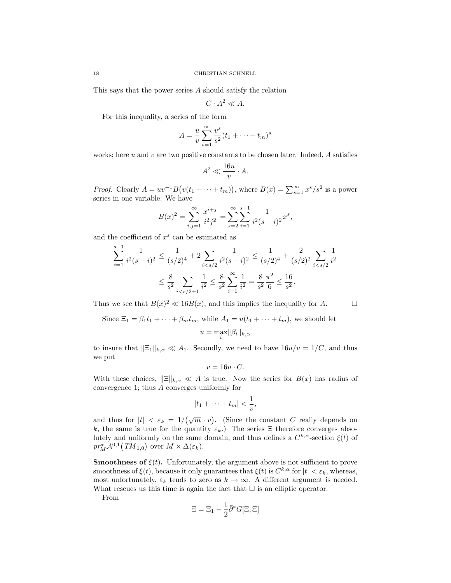This says that the power series A should satisfy the relation

 $C \cdot A^2 \ll A$ .

For this inequality, a series of the form

$$
A = \frac{u}{v} \sum_{s=1}^{\infty} \frac{v^s}{s^2} (t_1 + \dots + t_m)^s
$$

works; here u and v are two positive constants to be chosen later. Indeed,  $A$  satisfies

$$
A^2 \ll \frac{16u}{v} \cdot A.
$$

*Proof.* Clearly  $A = uv^{-1}B(v(t_1 + \cdots + t_m))$ , where  $B(x) = \sum_{s=1}^{\infty} x^s / s^2$  is a power series in one variable. We have

$$
B(x)^{2} = \sum_{i,j=1}^{\infty} \frac{x^{i+j}}{i^{2}j^{2}} = \sum_{s=2}^{\infty} \sum_{i=1}^{s-1} \frac{1}{i^{2}(s-i)^{2}} x^{s},
$$

and the coefficient of  $x^s$  can be estimated as

 $x = 1$ 

$$
\sum_{i=1}^{s-1} \frac{1}{i^2(s-i)^2} \le \frac{1}{(s/2)^4} + 2 \sum_{i < s/2} \frac{1}{i^2(s-i)^2} \le \frac{1}{(s/2)^4} + \frac{2}{(s/2)^2} \sum_{i < s/2} \frac{1}{i^2}
$$
\n
$$
\le \frac{8}{s^2} \sum_{i < s/2+1} \frac{1}{i^2} \le \frac{8}{s^2} \sum_{i=1}^{\infty} \frac{1}{i^2} = \frac{8}{s^2} \frac{\pi^2}{6} \le \frac{16}{s^2}.
$$

Thus we see that  $B(x)^2 \ll 16B(x)$ , and this implies the inequality for A.

Since  $\Xi_1 = \beta_1 t_1 + \cdots + \beta_m t_m$ , while  $A_1 = u(t_1 + \cdots + t_m)$ , we should let

$$
u=\max_i \lVert \beta_i \rVert_{k,\alpha}
$$

to insure that  $\|\Xi_1\|_{k,\alpha} \ll A_1$ . Secondly, we need to have  $16u/v = 1/C$ , and thus we put

$$
v = 16u \cdot C.
$$

With these choices,  $\|\Xi\|_{k,\alpha} \ll A$  is true. Now the series for  $B(x)$  has radius of convergence 1; thus A converges uniformly for

$$
|t_1+\cdots+t_m|<\frac{1}{v},
$$

and thus for  $|t| < \varepsilon_k = 1/(\sqrt{m} \cdot v)$ . (Since the constant C really depends on k, the same is true for the quantity  $\varepsilon_k$ .) The series  $\Xi$  therefore converges absolutely and uniformly on the same domain, and thus defines a  $C^{k,\alpha}$ -section  $\xi(t)$  of  $pr_M^* {\cal A}^{0,1} (TM_{1,0})$  over  $M \times \Delta(\varepsilon_k)$ .

**Smoothness of**  $\xi(t)$ . Unfortunately, the argument above is not sufficient to prove smoothness of  $\xi(t)$ , because it only guarantees that  $\xi(t)$  is  $C^{k,\alpha}$  for  $|t| < \varepsilon_k$ , whereas, most unfortunately,  $\varepsilon_k$  tends to zero as  $k \to \infty$ . A different argument is needed. What rescues us this time is again the fact that  $\square$  is an elliptic operator.

From

$$
\Xi = \Xi_1 - \frac{1}{2}\bar{\partial}^* G[\Xi, \Xi]
$$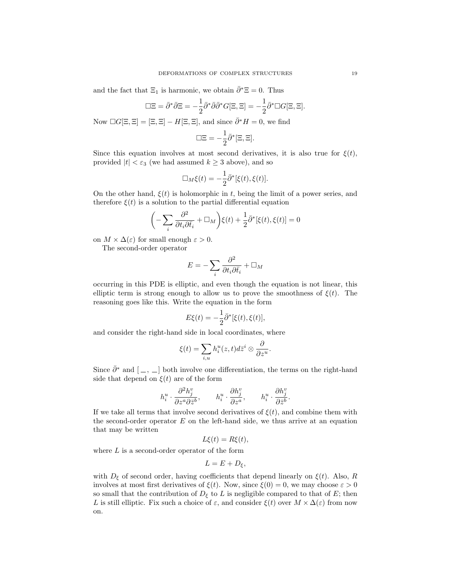and the fact that  $\Xi_1$  is harmonic, we obtain  $\bar{\partial}$ <sup>∗</sup> $\Xi = 0$ . Thus

$$
\Box \Xi = \bar{\partial}^* \bar{\partial} \Xi = -\frac{1}{2} \bar{\partial}^* \bar{\partial} \bar{\partial}^* G[\Xi, \Xi] = -\frac{1}{2} \bar{\partial}^* \Box G[\Xi, \Xi].
$$

Now  $\Box G[\Xi,\Xi]=[\Xi,\Xi]-H[\Xi,\Xi]$ , and since  $\bar{\partial}^*H=0$ , we find

$$
\Box \Xi = -\frac{1}{2}\bar{\partial}^*[\Xi, \Xi].
$$

Since this equation involves at most second derivatives, it is also true for  $\xi(t)$ , provided  $|t| < \varepsilon_3$  (we had assumed  $k \geq 3$  above), and so

$$
\Box_M \xi(t) = -\frac{1}{2} \bar{\partial}^*[\xi(t), \xi(t)].
$$

On the other hand,  $\xi(t)$  is holomorphic in t, being the limit of a power series, and therefore  $\xi(t)$  is a solution to the partial differential equation

$$
\left(-\sum_{i} \frac{\partial^2}{\partial t_i \partial \bar{t}_i} + \Box_M\right) \xi(t) + \frac{1}{2} \bar{\partial}^*[\xi(t), \xi(t)] = 0
$$

on  $M \times \Delta(\varepsilon)$  for small enough  $\varepsilon > 0$ .

The second-order operator

$$
E = -\sum_{i} \frac{\partial^2}{\partial t_i \partial \bar{t}_i} + \Box_M
$$

occurring in this PDE is elliptic, and even though the equation is not linear, this elliptic term is strong enough to allow us to prove the smoothness of  $\xi(t)$ . The reasoning goes like this. Write the equation in the form

$$
E\xi(t) = -\frac{1}{2}\bar{\partial}^*[\xi(t), \xi(t)],
$$

and consider the right-hand side in local coordinates, where

$$
\xi(t) = \sum_{i,u} h_i^u(z,t) d\bar{z}^i \otimes \frac{\partial}{\partial z^u}.
$$

Since  $\bar{\partial}^*$  and  $[-, \_]$  both involve one differentiation, the terms on the right-hand side that depend on  $\xi(t)$  are of the form

$$
h_i^u\cdot \frac{\partial^2 h_j^v}{\partial z^a\partial \bar{z}^b},\qquad h_i^u\cdot \frac{\partial h_j^v}{\partial z^a},\qquad h_i^u\cdot \frac{\partial h_j^v}{\partial \bar{z}^b}.
$$

If we take all terms that involve second derivatives of  $\xi(t)$ , and combine them with the second-order operator  $E$  on the left-hand side, we thus arrive at an equation that may be written

$$
L\xi(t) = R\xi(t),
$$

where  $L$  is a second-order operator of the form

$$
L = E + D_{\xi},
$$

with  $D_{\xi}$  of second order, having coefficients that depend linearly on  $\xi(t)$ . Also, R involves at most first derivatives of  $\xi(t)$ . Now, since  $\xi(0) = 0$ , we may choose  $\varepsilon > 0$ so small that the contribution of  $D_{\xi}$  to L is negligible compared to that of E; then L is still elliptic. Fix such a choice of  $\varepsilon$ , and consider  $\xi(t)$  over  $M \times \Delta(\varepsilon)$  from now on.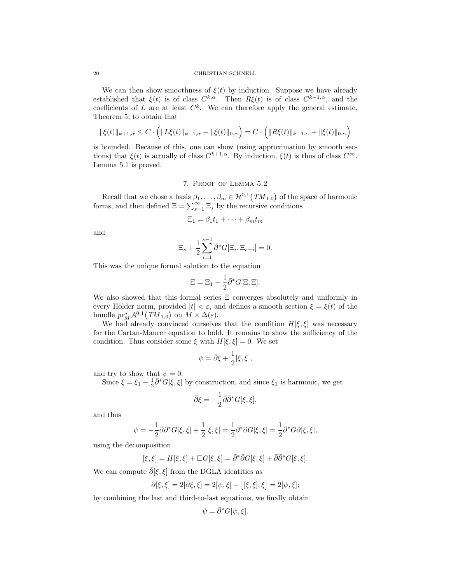We can then show smoothness of  $\xi(t)$  by induction. Suppose we have already established that  $\xi(t)$  is of class  $C^{k,\alpha}$ . Then  $R\xi(t)$  is of class  $C^{k-1,\alpha}$ , and the coefficients of L are at least  $C^k$ . We can therefore apply the general estimate, Theorem 5, to obtain that

$$
\|\xi(t)\|_{k+1,\alpha} \leq C \cdot \left( \|L\xi(t)\|_{k-1,\alpha} + \|\xi(t)\|_{0,\alpha} \right) = C \cdot \left( \|R\xi(t)\|_{k-1,\alpha} + \|\xi(t)\|_{0,\alpha} \right)
$$

is bounded. Because of this, one can show (using approximation by smooth sections) that  $\xi(t)$  is actually of class  $C^{k+1,\alpha}$ . By induction,  $\xi(t)$  is thus of class  $C^{\infty}$ . Lemma 5.1 is proved.

7. Proof of Lemma 5.2

Recall that we chose a basis  $\beta_1, \ldots, \beta_m \in \mathcal{H}^{0,1}(TM_{1,0})$  of the space of harmonic forms, and then defined  $\Xi = \sum_{s=1}^{\infty} \Xi_s$  by the recursive conditions

$$
\Xi_1 = \beta_1 t_1 + \dots + \beta_m t_m
$$

and

$$
\Xi_s + \frac{1}{2} \sum_{i=1}^{s-1} \bar{\partial}^* G[\Xi_i, \Xi_{s-i}] = 0.
$$

This was the unique formal solution to the equation

$$
\Xi = \Xi_1 - \frac{1}{2}\bar{\partial}^* G[\Xi, \Xi].
$$

We also showed that this formal series  $\Xi$  converges absolutely and uniformly in every Hölder norm, provided  $|t| < \varepsilon$ , and defines a smooth section  $\xi = \xi(t)$  of the bundle  $pr_M^*{\mathcal A}^{0,1}([TM_{1,0})$  on  $M\times\Delta({\varepsilon}).$ 

We had already convinced ourselves that the condition  $H[\xi, \xi]$  was necessary for the Cartan-Maurer equation to hold. It remains to show the sufficiency of the condition. Thus consider some  $\xi$  with  $H[\xi, \xi] = 0$ . We set

$$
\psi = \bar{\partial}\xi + \frac{1}{2}[\xi, \xi],
$$

and try to show that  $\psi = 0$ .

Since  $\xi = \xi_1 - \frac{1}{2} \bar{\partial}^* G[\xi, \xi]$  by construction, and since  $\xi_1$  is harmonic, we get

$$
\bar{\partial}\xi=-\frac{1}{2}\bar{\partial}\bar{\partial}^*G[\xi,\xi],
$$

and thus

$$
\psi = -\frac{1}{2}\bar{\partial}\bar{\partial}^*G[\xi,\xi] + \frac{1}{2}[\xi,\xi] = \frac{1}{2}\bar{\partial}^*\bar{\partial}G[\xi,\xi] = \frac{1}{2}\bar{\partial}^*G\bar{\partial}[\xi,\xi],
$$

using the decomposition

$$
[\xi,\xi] = H[\xi,\xi] + \Box G[\xi,\xi] = \bar{\partial}^* \bar{\partial} G[\xi,\xi] + \bar{\partial} \bar{\partial}^* G[\xi,\xi].
$$

We can compute  $\bar{\partial}[\xi,\xi]$  from the DGLA identities as

$$
\bar{\partial}[\xi,\xi]=2[\bar{\partial}\xi,\xi]=2[\psi,\xi]-\big[[\xi,\xi],\xi\big]=2[\psi,\xi];
$$

by combining the last and third-to-last equations, we finally obtain

$$
\psi = \bar{\partial}^* G[\psi, \xi].
$$